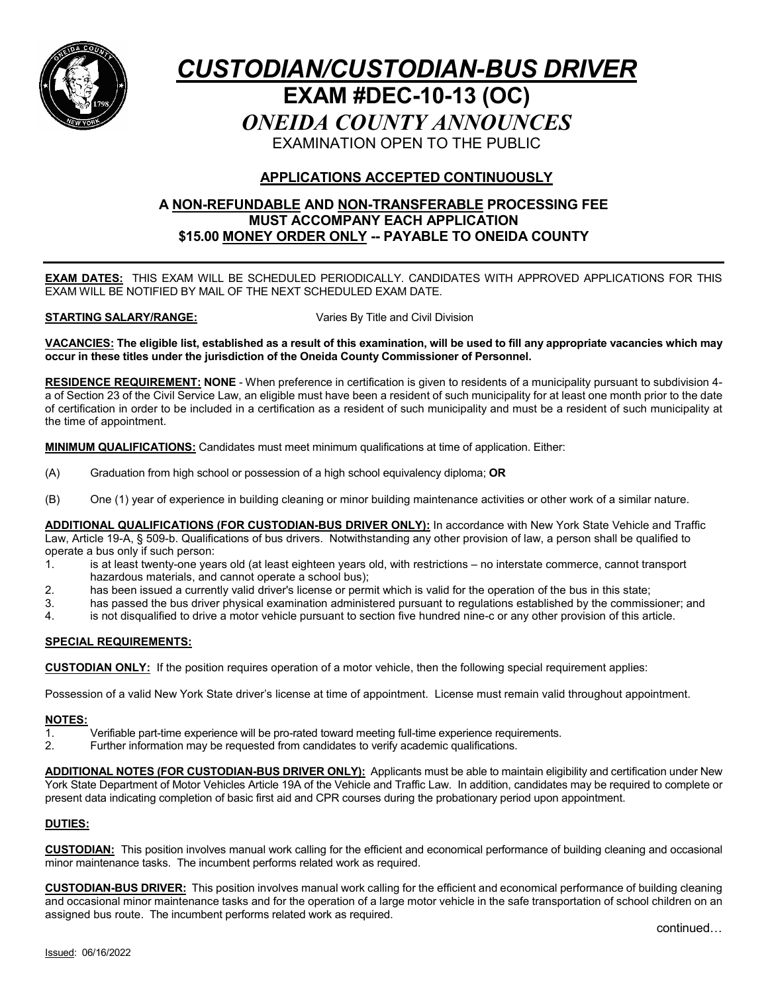

# *CUSTODIAN/CUSTODIAN-BUS DRIVER* **EXAM #DEC-10-13 (OC)** *ONEIDA COUNTY ANNOUNCES* EXAMINATION OPEN TO THE PUBLIC

## **APPLICATIONS ACCEPTED CONTINUOUSLY**

#### **A NON-REFUNDABLE AND NON-TRANSFERABLE PROCESSING FEE MUST ACCOMPANY EACH APPLICATION \$15.00 MONEY ORDER ONLY -- PAYABLE TO ONEIDA COUNTY**

**EXAM DATES:** THIS EXAM WILL BE SCHEDULED PERIODICALLY. CANDIDATES WITH APPROVED APPLICATIONS FOR THIS EXAM WILL BE NOTIFIED BY MAIL OF THE NEXT SCHEDULED EXAM DATE.

#### **STARTING SALARY/RANGE:** Varies By Title and Civil Division

**VACANCIES: The eligible list, established as a result of this examination, will be used to fill any appropriate vacancies which may occur in these titles under the jurisdiction of the Oneida County Commissioner of Personnel.**

**RESIDENCE REQUIREMENT: NONE** - When preference in certification is given to residents of a municipality pursuant to subdivision 4 a of Section 23 of the Civil Service Law, an eligible must have been a resident of such municipality for at least one month prior to the date of certification in order to be included in a certification as a resident of such municipality and must be a resident of such municipality at the time of appointment.

**MINIMUM QUALIFICATIONS:** Candidates must meet minimum qualifications at time of application. Either:

- (A) Graduation from high school or possession of a high school equivalency diploma; **OR**
- (B) One (1) year of experience in building cleaning or minor building maintenance activities or other work of a similar nature.

**ADDITIONAL QUALIFICATIONS (FOR CUSTODIAN-BUS DRIVER ONLY):** In accordance with New York State Vehicle and Traffic Law, Article 19-A, § 509-b. Qualifications of bus drivers. Notwithstanding any other provision of law, a person shall be qualified to

- operate a bus only if such person:<br>1. is at least twenty-one year is at least twenty-one years old (at least eighteen years old, with restrictions – no interstate commerce, cannot transport hazardous materials, and cannot operate a school bus);
- 2. has been issued a currently valid driver's license or permit which is valid for the operation of the bus in this state;
- 3. has passed the bus driver physical examination administered pursuant to regulations established by the commissioner; and
- 4. is not disqualified to drive a motor vehicle pursuant to section five hundred nine-c or any other provision of this article.

#### **SPECIAL REQUIREMENTS:**

**CUSTODIAN ONLY:** If the position requires operation of a motor vehicle, then the following special requirement applies:

Possession of a valid New York State driver's license at time of appointment. License must remain valid throughout appointment.

#### **NOTES:**

- 1. Verifiable part-time experience will be pro-rated toward meeting full-time experience requirements.<br>2. Eurther information may be requested from candidates to verify academic qualifications
- Further information may be requested from candidates to verify academic qualifications.

**ADDITIONAL NOTES (FOR CUSTODIAN-BUS DRIVER ONLY):** Applicants must be able to maintain eligibility and certification under New York State Department of Motor Vehicles Article 19A of the Vehicle and Traffic Law. In addition, candidates may be required to complete or present data indicating completion of basic first aid and CPR courses during the probationary period upon appointment.

#### **DUTIES:**

**CUSTODIAN:** This position involves manual work calling for the efficient and economical performance of building cleaning and occasional minor maintenance tasks. The incumbent performs related work as required.

**CUSTODIAN-BUS DRIVER:** This position involves manual work calling for the efficient and economical performance of building cleaning and occasional minor maintenance tasks and for the operation of a large motor vehicle in the safe transportation of school children on an assigned bus route. The incumbent performs related work as required.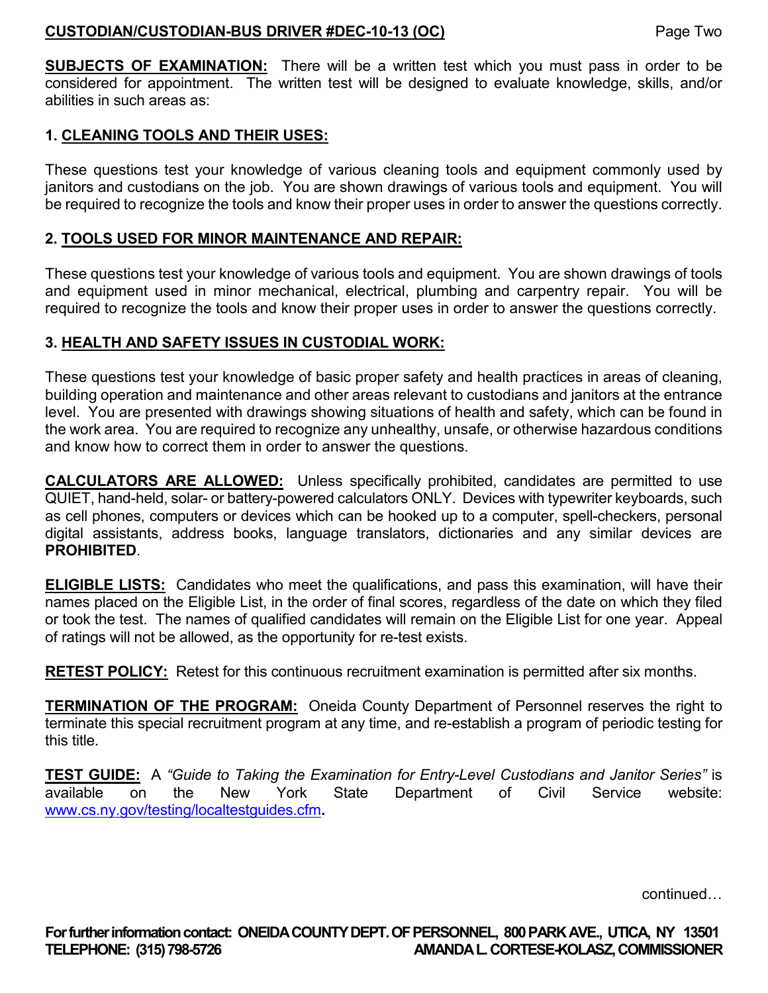### **CUSTODIAN/CUSTODIAN-BUS DRIVER #DEC-10-13 (OC)** Page Two

**SUBJECTS OF EXAMINATION:** There will be a written test which you must pass in order to be considered for appointment. The written test will be designed to evaluate knowledge, skills, and/or abilities in such areas as:

## **1. CLEANING TOOLS AND THEIR USES:**

These questions test your knowledge of various cleaning tools and equipment commonly used by janitors and custodians on the job. You are shown drawings of various tools and equipment. You will be required to recognize the tools and know their proper uses in order to answer the questions correctly.

## **2. TOOLS USED FOR MINOR MAINTENANCE AND REPAIR:**

These questions test your knowledge of various tools and equipment. You are shown drawings of tools and equipment used in minor mechanical, electrical, plumbing and carpentry repair. You will be required to recognize the tools and know their proper uses in order to answer the questions correctly.

## **3. HEALTH AND SAFETY ISSUES IN CUSTODIAL WORK:**

These questions test your knowledge of basic proper safety and health practices in areas of cleaning, building operation and maintenance and other areas relevant to custodians and janitors at the entrance level. You are presented with drawings showing situations of health and safety, which can be found in the work area. You are required to recognize any unhealthy, unsafe, or otherwise hazardous conditions and know how to correct them in order to answer the questions.

**CALCULATORS ARE ALLOWED:** Unless specifically prohibited, candidates are permitted to use QUIET, hand-held, solar- or battery-powered calculators ONLY. Devices with typewriter keyboards, such as cell phones, computers or devices which can be hooked up to a computer, spell-checkers, personal digital assistants, address books, language translators, dictionaries and any similar devices are **PROHIBITED**.

**ELIGIBLE LISTS:** Candidates who meet the qualifications, and pass this examination, will have their names placed on the Eligible List, in the order of final scores, regardless of the date on which they filed or took the test. The names of qualified candidates will remain on the Eligible List for one year. Appeal of ratings will not be allowed, as the opportunity for re-test exists.

**RETEST POLICY:** Retest for this continuous recruitment examination is permitted after six months.

**TERMINATION OF THE PROGRAM:** Oneida County Department of Personnel reserves the right to terminate this special recruitment program at any time, and re-establish a program of periodic testing for this title.

**TEST GUIDE:** A *"Guide to Taking the Examination for Entry-Level Custodians and Janitor Series"* is available on the New York State Department of Civil Service website: [www.cs.ny.gov/testing/localtestguides.cfm](http://www.cs.ny.gov/testing/localtestguides.cfm)**.**

continued…